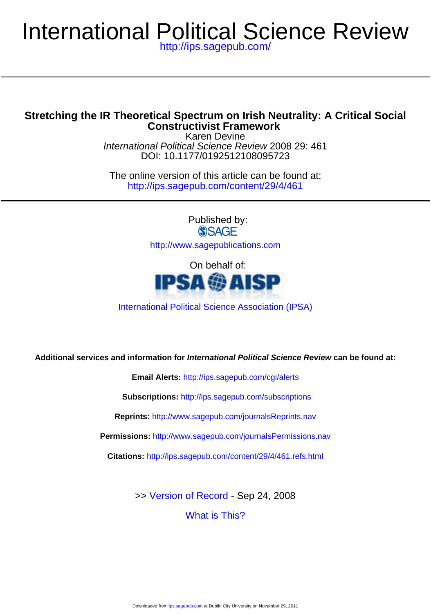# <http://ips.sagepub.com/> International Political Science Review

# **Constructivist Framework Stretching the IR Theoretical Spectrum on Irish Neutrality: A Critical Social**

DOI: 10.1177/0192512108095723 International Political Science Review 2008 29: 461 Karen Devine

<http://ips.sagepub.com/content/29/4/461> The online version of this article can be found at:

> Published by: **SSAGE** <http://www.sagepublications.com>



[International Political Science Association \(IPSA\)](http://www.ipsa.ca/)

**Additional services and information for International Political Science Review can be found at:**

**Email Alerts:** <http://ips.sagepub.com/cgi/alerts>

**Subscriptions:** <http://ips.sagepub.com/subscriptions>

**Reprints:** <http://www.sagepub.com/journalsReprints.nav>

**Permissions:** <http://www.sagepub.com/journalsPermissions.nav>

**Citations:** <http://ips.sagepub.com/content/29/4/461.refs.html>

>> [Version of Record -](http://ips.sagepub.com/content/29/4/461.full.pdf) Sep 24, 2008

[What is This?](http://online.sagepub.com/site/sphelp/vorhelp.xhtml)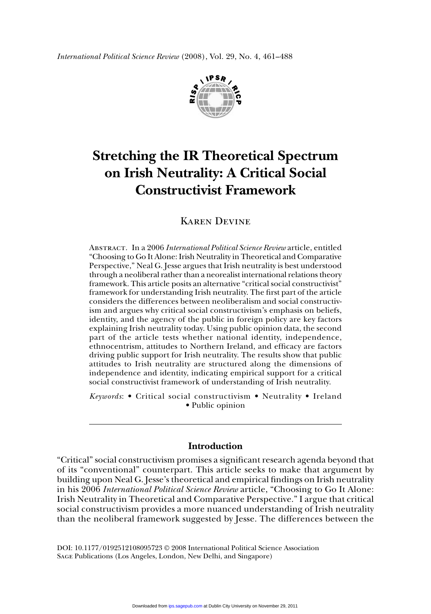

# **Stretching the IR Theoretical Spectrum on Irish Neutrality: A Critical Social Constructivist Framework**

# Karen Devine

Abstract. In a 2006 *International Political Science Review* article, entitled "Choosing to Go It Alone: Irish Neutrality in Theoretical and Comparative Perspective," Neal G. Jesse argues that Irish neutrality is best understood through a neoliberal rather than a neorealist international relations theory framework. This article posits an alternative "critical social constructivist" framework for understanding Irish neutrality. The first part of the article considers the differences between neoliberalism and social constructivism and argues why critical social constructivism's emphasis on beliefs, identity, and the agency of the public in foreign policy are key factors explaining Irish neutrality today. Using public opinion data, the second part of the article tests whether national identity, independence, ethnocentrism, attitudes to Northern Ireland, and efficacy are factors driving public support for Irish neutrality. The results show that public attitudes to Irish neutrality are structured along the dimensions of independence and identity, indicating empirical support for a critical social constructivist framework of understanding of Irish neutrality.

*Keywords*: • Critical social constructivism • Neutrality • Ireland • Public opinion

# **Introduction**

"Critical" social constructivism promises a signifi cant research agenda beyond that of its "conventional" counterpart. This article seeks to make that argument by building upon Neal G. Jesse's theoretical and empirical findings on Irish neutrality in his 2006 *International Political Science Review* article, "Choosing to Go It Alone: Irish Neutrality in Theoretical and Comparative Perspective." I argue that critical social constructivism provides a more nuanced understanding of Irish neutrality than the neoliberal framework suggested by Jesse. The differences between the

DOI: 10.1177/0192512108095723 © 2008 International Political Science Association Sage Publications (Los Angeles, London, New Delhi, and Singapore)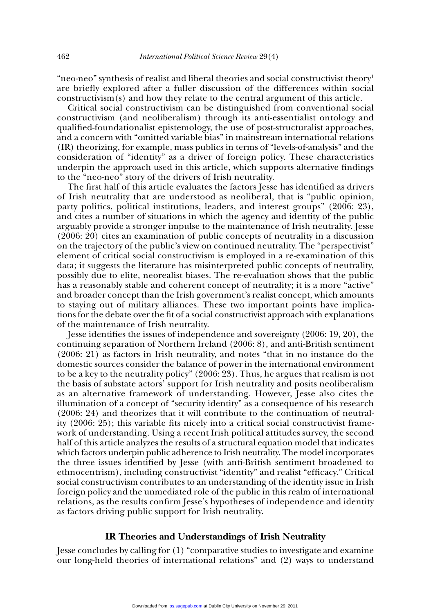"neo-neo" synthesis of realist and liberal theories and social constructivist theory1 are briefly explored after a fuller discussion of the differences within social constructivism(s) and how they relate to the central argument of this article.

Critical social constructivism can be distinguished from conventional social constructivism (and neoliberalism) through its anti-essentialist ontology and qualified-foundationalist epistemology, the use of post-structuralist approaches, and a concern with "omitted variable bias" in mainstream international relations (IR) theorizing, for example, mass publics in terms of "levels-of-analysis" and the consideration of "identity" as a driver of foreign policy. These characteristics underpin the approach used in this article, which supports alternative findings to the "neo-neo" story of the drivers of Irish neutrality.

The first half of this article evaluates the factors Jesse has identified as drivers of Irish neutrality that are understood as neoliberal, that is "public opinion, party politics, political institutions, leaders, and interest groups" (2006: 23), and cites a number of situations in which the agency and identity of the public arguably provide a stronger impulse to the maintenance of Irish neutrality. Jesse (2006: 20) cites an examination of public concepts of neutrality in a discussion on the trajectory of the public's view on continued neutrality. The "perspectivist" element of critical social constructivism is employed in a re-examination of this data; it suggests the literature has misinterpreted public concepts of neutrality, possibly due to elite, neorealist biases. The re-evaluation shows that the public has a reasonably stable and coherent concept of neutrality; it is a more "active" and broader concept than the Irish government's realist concept, which amounts to staying out of military alliances. These two important points have implications for the debate over the fi t of a social constructivist approach with explanations of the maintenance of Irish neutrality.

Jesse identifies the issues of independence and sovereignty  $(2006: 19, 20)$ , the continuing separation of Northern Ireland (2006: 8), and anti-British sentiment (2006: 21) as factors in Irish neutrality, and notes "that in no instance do the domestic sources consider the balance of power in the international environment to be a key to the neutrality policy" (2006: 23). Thus, he argues that realism is not the basis of substate actors' support for Irish neutrality and posits neoliberalism as an alternative framework of understanding. However, Jesse also cites the illumination of a concept of "security identity" as a consequence of his research (2006: 24) and theorizes that it will contribute to the continuation of neutrality  $(2006: 25)$ ; this variable fits nicely into a critical social constructivist framework of understanding. Using a recent Irish political attitudes survey, the second half of this article analyzes the results of a structural equation model that indicates which factors underpin public adherence to Irish neutrality. The model incorporates the three issues identified by Jesse (with anti-British sentiment broadened to ethnocentrism), including constructivist "identity" and realist "efficacy." Critical social constructivism contributes to an understanding of the identity issue in Irish foreign policy and the unmediated role of the public in this realm of international relations, as the results confirm Jesse's hypotheses of independence and identity as factors driving public support for Irish neutrality.

## **IR Theories and Understandings of Irish Neutrality**

Jesse concludes by calling for (1) "comparative studies to investigate and examine our long-held theories of international relations" and (2) ways to understand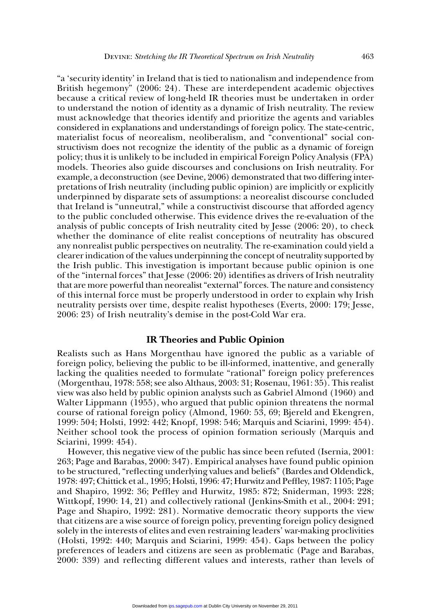"a 'security identity' in Ireland that is tied to nationalism and independence from British hegemony" (2006: 24). These are interdependent academic objectives because a critical review of long-held IR theories must be undertaken in order to understand the notion of identity as a dynamic of Irish neutrality. The review must acknowledge that theories identify and prioritize the agents and variables considered in explanations and understandings of foreign policy. The state-centric, materialist focus of neorealism, neoliberalism, and "conventional" social constructivism does not recognize the identity of the public as a dynamic of foreign policy; thus it is unlikely to be included in empirical Foreign Policy Analysis (FPA) models. Theories also guide discourses and conclusions on Irish neutrality. For example, a deconstruction (see Devine, 2006) demonstrated that two differing interpretations of Irish neutrality (including public opinion) are implicitly or explicitly underpinned by disparate sets of assumptions: a neorealist discourse concluded that Ireland is "unneutral," while a constructivist discourse that afforded agency to the public concluded otherwise. This evidence drives the re-evaluation of the analysis of public concepts of Irish neutrality cited by Jesse (2006: 20), to check whether the dominance of elite realist conceptions of neutrality has obscured any nonrealist public perspectives on neutrality. The re-examination could yield a clearer indication of the values underpinning the concept of neutrality supported by the Irish public. This investigation is important because public opinion is one of the "internal forces" that Jesse  $(2006: 20)$  identifies as drivers of Irish neutrality that are more powerful than neorealist "external" forces. The nature and consistency of this internal force must be properly understood in order to explain why Irish neutrality persists over time, despite realist hypotheses (Everts, 2000: 179; Jesse, 2006: 23) of Irish neutrality's demise in the post-Cold War era.

## **IR Theories and Public Opinion**

Realists such as Hans Morgenthau have ignored the public as a variable of foreign policy, believing the public to be ill-informed, inattentive, and generally lacking the qualities needed to formulate "rational" foreign policy preferences (Morgenthau, 1978: 558; see also Althaus, 2003: 31; Rosenau, 1961: 35). This realist view was also held by public opinion analysts such as Gabriel Almond (1960) and Walter Lippmann (1955), who argued that public opinion threatens the normal course of rational foreign policy (Almond, 1960: 53, 69; Bjereld and Ekengren, 1999: 504; Holsti, 1992: 442; Knopf, 1998: 546; Marquis and Sciarini, 1999: 454). Neither school took the process of opinion formation seriously (Marquis and Sciarini, 1999: 454).

However, this negative view of the public has since been refuted (Isernia, 2001: 263; Page and Barabas, 2000: 347). Empirical analyses have found public opinion to be structured, "reflecting underlying values and beliefs" (Bardes and Oldendick, 1978: 497; Chittick et al., 1995; Holsti, 1996: 47; Hurwitz and Peffley, 1987: 1105; Page and Shapiro, 1992: 36; Peffley and Hurwitz, 1985: 872; Sniderman, 1993: 228; Wittkopf, 1990: 14, 21) and collectively rational (Jenkins-Smith et al., 2004: 291; Page and Shapiro, 1992: 281). Normative democratic theory supports the view that citizens are a wise source of foreign policy, preventing foreign policy designed solely in the interests of elites and even restraining leaders' war-making proclivities (Holsti, 1992: 440; Marquis and Sciarini, 1999: 454). Gaps between the policy preferences of leaders and citizens are seen as problematic (Page and Barabas,  $2000: 339$  and reflecting different values and interests, rather than levels of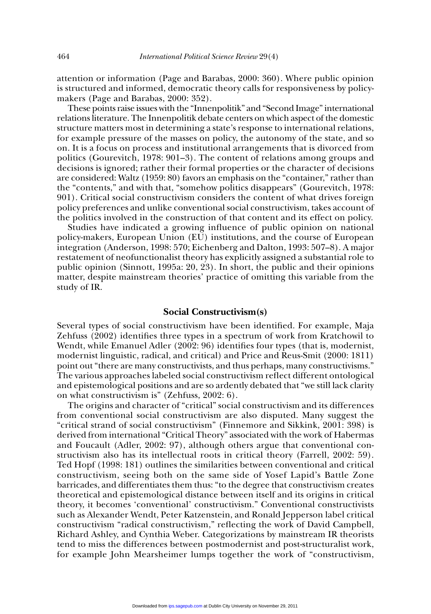attention or information (Page and Barabas, 2000: 360). Where public opinion is structured and informed, democratic theory calls for responsiveness by policymakers (Page and Barabas, 2000: 352).

These points raise issues with the "Innenpolitik" and "Second Image" international relations literature. The Innenpolitik debate centers on which aspect of the domestic structure matters most in determining a state's response to international relations, for example pressure of the masses on policy, the autonomy of the state, and so on. It is a focus on process and institutional arrangements that is divorced from politics (Gourevitch, 1978: 901–3). The content of relations among groups and decisions is ignored; rather their formal properties or the character of decisions are considered: Waltz (1959: 80) favors an emphasis on the "container," rather than the "contents," and with that, "somehow politics disappears" (Gourevitch, 1978: 901). Critical social constructivism considers the content of what drives foreign policy preferences and unlike conventional social constructivism, takes account of the politics involved in the construction of that content and its effect on policy.

Studies have indicated a growing influence of public opinion on national policy-makers, European Union (EU) institutions, and the course of European integration (Anderson, 1998: 570; Eichenberg and Dalton, 1993: 507–8). A major restatement of neofunctionalist theory has explicitly assigned a substantial role to public opinion (Sinnott, 1995a: 20, 23). In short, the public and their opinions matter, despite mainstream theories' practice of omitting this variable from the study of IR.

### **Social Constructivism(s)**

Several types of social constructivism have been identified. For example, Maja Zehfuss  $(2002)$  identifies three types in a spectrum of work from Kratchowil to Wendt, while Emanuel Adler (2002: 96) identifies four types (that is, modernist, modernist linguistic, radical, and critical) and Price and Reus-Smit (2000: 1811) point out "there are many constructivists, and thus perhaps, many constructivisms." The various approaches labeled social constructivism reflect different ontological and epistemological positions and are so ardently debated that "we still lack clarity on what constructivism is" (Zehfuss, 2002: 6).

The origins and character of "critical" social constructivism and its differences from conventional social constructivism are also disputed. Many suggest the "critical strand of social constructivism" (Finnemore and Sikkink, 2001: 398) is derived from international "Critical Theory" associated with the work of Habermas and Foucault (Adler, 2002: 97), although others argue that conventional constructivism also has its intellectual roots in critical theory (Farrell, 2002: 59). Ted Hopf (1998: 181) outlines the similarities between conventional and critical constructivism, seeing both on the same side of Yosef Lapid's Battle Zone barricades, and differentiates them thus: "to the degree that constructivism creates theoretical and epistemological distance between itself and its origins in critical theory, it becomes 'conventional' constructivism." Conventional constructivists such as Alexander Wendt, Peter Katzenstein, and Ronald Jepperson label critical constructivism "radical constructivism," reflecting the work of David Campbell, Richard Ashley, and Cynthia Weber. Categorizations by mainstream IR theorists tend to miss the differences between postmodernist and post-structuralist work, for example John Mearsheimer lumps together the work of "constructivism,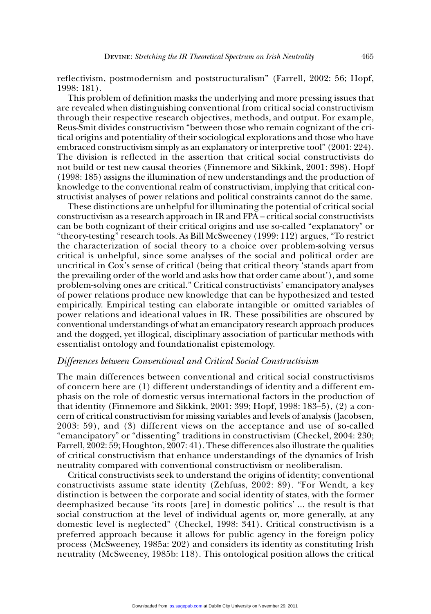reflectivism, postmodernism and poststructuralism" (Farrell, 2002: 56; Hopf, 1998: 181).

This problem of definition masks the underlying and more pressing issues that are revealed when distinguishing conventional from critical social constructivism through their respective research objectives, methods, and output. For example, Reus-Smit divides constructivism "between those who remain cognizant of the critical origins and potentiality of their sociological explorations and those who have embraced constructivism simply as an explanatory or interpretive tool" (2001: 224). The division is reflected in the assertion that critical social constructivists do not build or test new causal theories (Finnemore and Sikkink, 2001: 398). Hopf (1998: 185) assigns the illumination of new understandings and the production of knowledge to the conventional realm of constructivism, implying that critical constructivist analyses of power relations and political constraints cannot do the same.

These distinctions are unhelpful for illuminating the potential of critical social constructivism as a research approach in IR and FPA – critical social constructivists can be both cognizant of their critical origins and use so-called "explanatory" or "theory-testing" research tools. As Bill McSweeney (1999: 112) argues, "To restrict the characterization of social theory to a choice over problem-solving versus critical is unhelpful, since some analyses of the social and political order are uncritical in Cox's sense of critical (being that critical theory 'stands apart from the prevailing order of the world and asks how that order came about'), and some problem-solving ones are critical." Critical constructivists' emancipatory analyses of power relations produce new knowledge that can be hypothesized and tested empirically. Empirical testing can elaborate intangible or omitted variables of power relations and ideational values in IR. These possibilities are obscured by conventional understandings of what an emancipatory research approach produces and the dogged, yet illogical, disciplinary association of particular methods with essentialist ontology and foundationalist epistemology.

#### *Differences between Conventional and Critical Social Constructivism*

The main differences between conventional and critical social constructivisms of concern here are (1) different understandings of identity and a different emphasis on the role of domestic versus international factors in the production of that identity (Finnemore and Sikkink, 2001: 399; Hopf, 1998: 183–5), (2) a concern of critical constructivism for missing variables and levels of analysis (Jacobsen, 2003: 59), and (3) different views on the acceptance and use of so-called "emancipatory" or "dissenting" traditions in constructivism (Checkel, 2004: 230; Farrell, 2002: 59; Houghton, 2007: 41). These differences also illustrate the qualities of critical constructivism that enhance understandings of the dynamics of Irish neutrality compared with conventional constructivism or neoliberalism.

Critical constructivists seek to understand the origins of identity; conventional constructivists assume state identity (Zehfuss, 2002: 89). "For Wendt, a key distinction is between the corporate and social identity of states, with the former deemphasized because 'its roots [are] in domestic politics' ... the result is that social construction at the level of individual agents or, more generally, at any domestic level is neglected" (Checkel, 1998: 341). Critical constructivism is a preferred approach because it allows for public agency in the foreign policy process (McSweeney, 1985a: 202) and considers its identity as constituting Irish neutrality (McSweeney, 1985b: 118). This ontological position allows the critical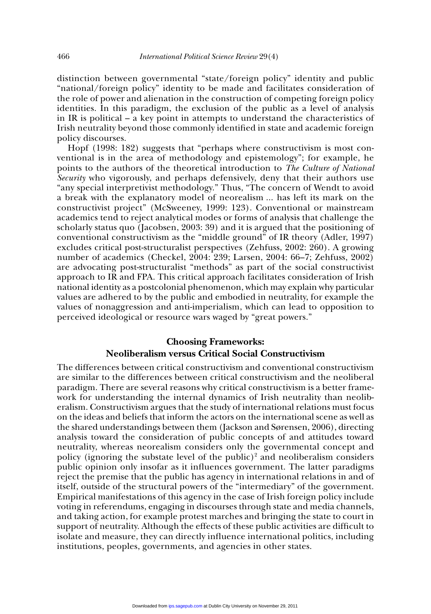distinction between governmental "state/foreign policy" identity and public "national/foreign policy" identity to be made and facilitates consideration of the role of power and alienation in the construction of competing foreign policy identities. In this paradigm, the exclusion of the public as a level of analysis in IR is political – a key point in attempts to understand the characteristics of Irish neutrality beyond those commonly identified in state and academic foreign policy discourses.

Hopf (1998: 182) suggests that "perhaps where constructivism is most conventional is in the area of methodology and epistemology"; for example, he points to the authors of the theoretical introduction to *The Culture of National Security* who vigorously, and perhaps defensively, deny that their authors use "any special interpretivist methodology." Thus, "The concern of Wendt to avoid a break with the explanatory model of neorealism ... has left its mark on the constructivist project" (McSweeney, 1999: 123). Conventional or mainstream academics tend to reject analytical modes or forms of analysis that challenge the scholarly status quo (Jacobsen, 2003: 39) and it is argued that the positioning of conventional constructivism as the "middle ground" of IR theory (Adler, 1997) excludes critical post-structuralist perspectives (Zehfuss, 2002: 260). A growing number of academics (Checkel, 2004: 239; Larsen, 2004: 66–7; Zehfuss, 2002) are advocating post-structuralist "methods" as part of the social constructivist approach to IR and FPA. This critical approach facilitates consideration of Irish national identity as a postcolonial phenomenon, which may explain why particular values are adhered to by the public and embodied in neutrality, for example the values of nonaggression and anti-imperialism, which can lead to opposition to perceived ideological or resource wars waged by "great powers."

# **Choosing Frameworks: Neoliberalism versus Critical Social Constructivism**

The differences between critical constructivism and conventional constructivism are similar to the differences between critical constructivism and the neoliberal paradigm. There are several reasons why critical constructivism is a better framework for understanding the internal dynamics of Irish neutrality than neoliberalism. Constructivism argues that the study of international relations must focus on the ideas and beliefs that inform the actors on the international scene as well as the shared understandings between them (Jackson and Sørensen, 2006), directing analysis toward the consideration of public concepts of and attitudes toward neutrality, whereas neorealism considers only the governmental concept and policy (ignoring the substate level of the public)<sup>2</sup> and neoliberalism considers public opinion only insofar as it influences government. The latter paradigms reject the premise that the public has agency in international relations in and of itself, outside of the structural powers of the "intermediary" of the government. Empirical manifestations of this agency in the case of Irish foreign policy include voting in referendums, engaging in discourses through state and media channels, and taking action, for example protest marches and bringing the state to court in support of neutrality. Although the effects of these public activities are difficult to isolate and measure, they can directly influence international politics, including institutions, peoples, governments, and agencies in other states.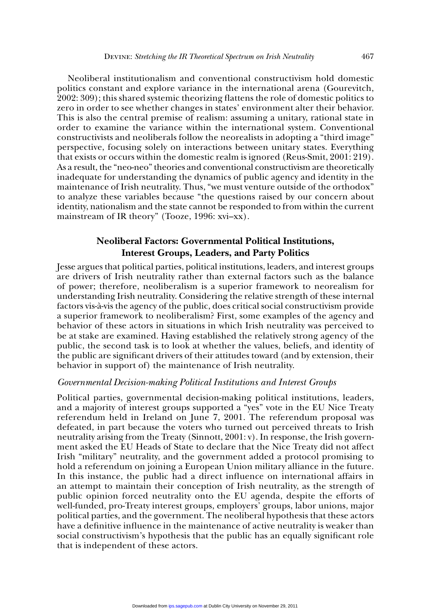Neoliberal institutionalism and conventional constructivism hold domestic politics constant and explore variance in the international arena (Gourevitch, 2002: 309); this shared systemic theorizing flattens the role of domestic politics to zero in order to see whether changes in states' environment alter their behavior. This is also the central premise of realism: assuming a unitary, rational state in order to examine the variance within the international system. Conventional constructivists and neoliberals follow the neorealists in adopting a "third image" perspective, focusing solely on interactions between unitary states. Everything that exists or occurs within the domestic realm is ignored (Reus-Smit, 2001: 219). As a result, the "neo-neo" theories and conventional constructivism are theoretically inadequate for understanding the dynamics of public agency and identity in the maintenance of Irish neutrality. Thus, "we must venture outside of the orthodox" to analyze these variables because "the questions raised by our concern about identity, nationalism and the state cannot be responded to from within the current mainstream of IR theory" (Tooze, 1996: xvi–xx).

# **Neoliberal Factors: Governmental Political Institutions, Interest Groups, Leaders, and Party Politics**

Jesse argues that political parties, political institutions, leaders, and interest groups are drivers of Irish neutrality rather than external factors such as the balance of power; therefore, neoliberalism is a superior framework to neorealism for understanding Irish neutrality. Considering the relative strength of these internal factors vis-à-vis the agency of the public, does critical social constructivism provide a superior framework to neoliberalism? First, some examples of the agency and behavior of these actors in situations in which Irish neutrality was perceived to be at stake are examined. Having established the relatively strong agency of the public, the second task is to look at whether the values, beliefs, and identity of the public are significant drivers of their attitudes toward (and by extension, their behavior in support of) the maintenance of Irish neutrality.

## *Governmental Decision-making Political Institutions and Interest Groups*

Political parties, governmental decision-making political institutions, leaders, and a majority of interest groups supported a "yes" vote in the EU Nice Treaty referendum held in Ireland on June 7, 2001. The referendum proposal was defeated, in part because the voters who turned out perceived threats to Irish neutrality arising from the Treaty (Sinnott, 2001: v). In response, the Irish government asked the EU Heads of State to declare that the Nice Treaty did not affect Irish "military" neutrality, and the government added a protocol promising to hold a referendum on joining a European Union military alliance in the future. In this instance, the public had a direct influence on international affairs in an attempt to maintain their conception of Irish neutrality, as the strength of public opinion forced neutrality onto the EU agenda, despite the efforts of well-funded, pro-Treaty interest groups, employers' groups, labor unions, major political parties, and the government. The neoliberal hypothesis that these actors have a definitive influence in the maintenance of active neutrality is weaker than social constructivism's hypothesis that the public has an equally significant role that is independent of these actors.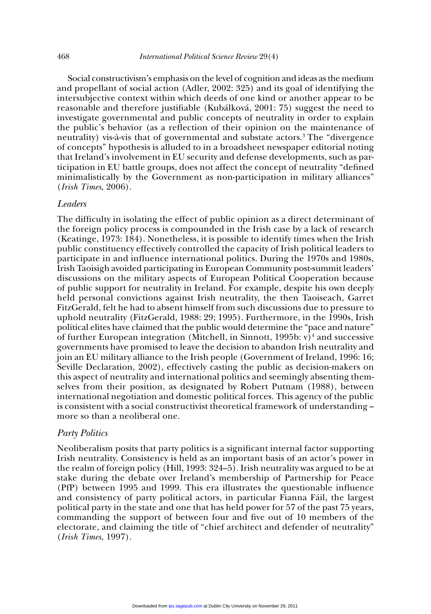Social constructivism's emphasis on the level of cognition and ideas as the medium and propellant of social action (Adler, 2002: 325) and its goal of identifying the intersubjective context within which deeds of one kind or another appear to be reasonable and therefore justifiable (Kubálková, 2001: 75) suggest the need to investigate governmental and public concepts of neutrality in order to explain the public's behavior (as a reflection of their opinion on the maintenance of neutrality) vis-à-vis that of governmental and substate actors.3 The "divergence of concepts" hypothesis is alluded to in a broadsheet newspaper editorial noting that Ireland's involvement in EU security and defense developments, such as participation in EU battle groups, does not affect the concept of neutrality "defined minimalistically by the Government as non-participation in military alliances" (*Irish Times*, 2006).

## *Leaders*

The difficulty in isolating the effect of public opinion as a direct determinant of the foreign policy process is compounded in the Irish case by a lack of research (Keatinge, 1973: 184). Nonetheless, it is possible to identify times when the Irish public constituency effectively controlled the capacity of Irish political leaders to participate in and influence international politics. During the 1970s and 1980s, Irish Taoisigh avoided participating in European Community post-summit leaders' discussions on the military aspects of European Political Cooperation because of public support for neutrality in Ireland. For example, despite his own deeply held personal convictions against Irish neutrality, the then Taoiseach, Garret FitzGerald, felt he had to absent himself from such discussions due to pressure to uphold neutrality (FitzGerald, 1988: 29; 1995). Furthermore, in the 1990s, Irish political elites have claimed that the public would determine the "pace and nature" of further European integration (Mitchell, in Sinnott, 1995b: v)<sup>4</sup> and successive governments have promised to leave the decision to abandon Irish neutrality and join an EU military alliance to the Irish people (Government of Ireland, 1996: 16; Seville Declaration, 2002), effectively casting the public as decision-makers on this aspect of neutrality and international politics and seemingly absenting themselves from their position, as designated by Robert Putnam (1988), between international negotiation and domestic political forces. This agency of the public is consistent with a social constructivist theoretical framework of understanding – more so than a neoliberal one.

### *Party Politics*

Neoliberalism posits that party politics is a significant internal factor supporting Irish neutrality. Consistency is held as an important basis of an actor's power in the realm of foreign policy (Hill, 1993: 324–5). Irish neutrality was argued to be at stake during the debate over Ireland's membership of Partnership for Peace (PfP) between 1995 and 1999. This era illustrates the questionable influence and consistency of party political actors, in particular Fianna Fáil, the largest political party in the state and one that has held power for 57 of the past 75 years, commanding the support of between four and five out of 10 members of the electorate, and claiming the title of "chief architect and defender of neutrality" (*Irish Times*, 1997).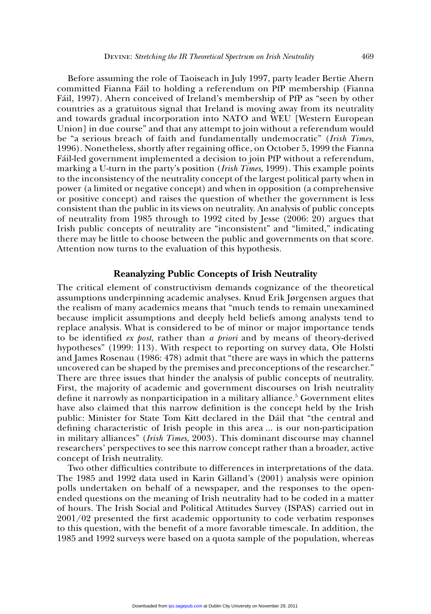Before assuming the role of Taoiseach in July 1997, party leader Bertie Ahern committed Fianna Fáil to holding a referendum on PfP membership (Fianna Fáil, 1997). Ahern conceived of Ireland's membership of PfP as "seen by other countries as a gratuitous signal that Ireland is moving away from its neutrality and towards gradual incorporation into NATO and WEU [Western European Union] in due course" and that any attempt to join without a referendum would be "a serious breach of faith and fundamentally undemocratic" (*Irish Times*, 1996). Nonetheless, shortly after regaining office, on October 5, 1999 the Fianna Fáil-led government implemented a decision to join PfP without a referendum, marking a U-turn in the party's position (*Irish Times*, 1999). This example points to the inconsistency of the neutrality concept of the largest political party when in power (a limited or negative concept) and when in opposition (a comprehensive or positive concept) and raises the question of whether the government is less consistent than the public in its views on neutrality. An analysis of public concepts of neutrality from 1985 through to 1992 cited by Jesse (2006: 20) argues that Irish public concepts of neutrality are "inconsistent" and "limited," indicating there may be little to choose between the public and governments on that score. Attention now turns to the evaluation of this hypothesis.

### **Reanalyzing Public Concepts of Irish Neutrality**

The critical element of constructivism demands cognizance of the theoretical assumptions underpinning academic analyses. Knud Erik Jørgensen argues that the realism of many academics means that "much tends to remain unexamined because implicit assumptions and deeply held beliefs among analysts tend to replace analysis. What is considered to be of minor or major importance tends to be identified *ex post*, rather than *a priori* and by means of theory-derived hypotheses" (1999: 113). With respect to reporting on survey data, Ole Holsti and James Rosenau (1986: 478) admit that "there are ways in which the patterns uncovered can be shaped by the premises and preconceptions of the researcher." There are three issues that hinder the analysis of public concepts of neutrality. First, the majority of academic and government discourses on Irish neutrality define it narrowly as nonparticipation in a military alliance.<sup>5</sup> Government elites have also claimed that this narrow definition is the concept held by the Irish public: Minister for State Tom Kitt declared in the Dáil that "the central and defining characteristic of Irish people in this area ... is our non-participation in military alliances" (*Irish Times*, 2003). This dominant discourse may channel researchers' perspectives to see this narrow concept rather than a broader, active concept of Irish neutrality.

Two other difficulties contribute to differences in interpretations of the data. The 1985 and 1992 data used in Karin Gilland's (2001) analysis were opinion polls undertaken on behalf of a newspaper, and the responses to the openended questions on the meaning of Irish neutrality had to be coded in a matter of hours. The Irish Social and Political Attitudes Survey (ISPAS) carried out in  $2001/02$  presented the first academic opportunity to code verbatim responses to this question, with the benefi t of a more favorable timescale. In addition, the 1985 and 1992 surveys were based on a quota sample of the population, whereas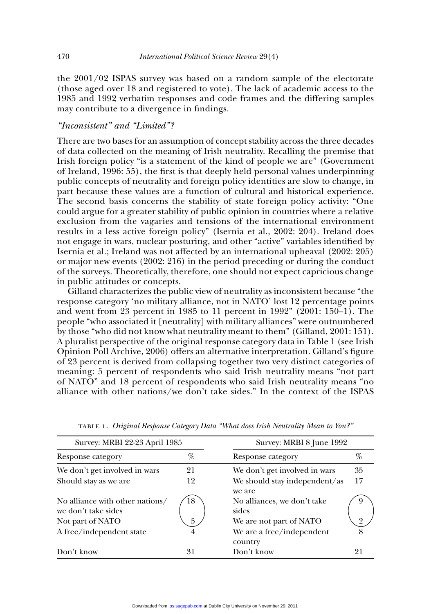the 2001/02 ISPAS survey was based on a random sample of the electorate (those aged over 18 and registered to vote). The lack of academic access to the 1985 and 1992 verbatim responses and code frames and the differing samples may contribute to a divergence in findings.

# *"Inconsistent" and "Limited"?*

There are two bases for an assumption of concept stability across the three decades of data collected on the meaning of Irish neutrality. Recalling the premise that Irish foreign policy "is a statement of the kind of people we are" (Government of Ireland, 1996: 55), the first is that deeply held personal values underpinning public concepts of neutrality and foreign policy identities are slow to change, in part because these values are a function of cultural and historical experience. The second basis concerns the stability of state foreign policy activity: "One could argue for a greater stability of public opinion in countries where a relative exclusion from the vagaries and tensions of the international environment results in a less active foreign policy" (Isernia et al., 2002: 204). Ireland does not engage in wars, nuclear posturing, and other "active" variables identified by Isernia et al.; Ireland was not affected by an international upheaval (2002: 205) or major new events (2002: 216) in the period preceding or during the conduct of the surveys. Theoretically, therefore, one should not expect capricious change in public attitudes or concepts.

Gilland characterizes the public view of neutrality as inconsistent because "the response category 'no military alliance, not in NATO' lost 12 percentage points and went from 23 percent in 1985 to 11 percent in 1992" (2001: 150–1). The people "who associated it [neutrality] with military alliances" were outnumbered by those "who did not know what neutrality meant to them" (Gilland, 2001: 151). A pluralist perspective of the original response category data in Table 1 (see Irish Opinion Poll Archive, 2006) offers an alternative interpretation. Gilland's figure of 23 percent is derived from collapsing together two very distinct categories of meaning: 5 percent of respondents who said Irish neutrality means "not part of NATO" and 18 percent of respondents who said Irish neutrality means "no alliance with other nations/we don't take sides." In the context of the ISPAS

| Survey: MRBI 22-23 April 1985                          |    | Survey: MRBI 8 June 1992                       |    |  |
|--------------------------------------------------------|----|------------------------------------------------|----|--|
| Response category                                      | %  | Response category                              | %  |  |
| We don't get involved in wars                          | 21 | We don't get involved in wars                  | 35 |  |
| Should stay as we are                                  | 12 | We should stay independent/as                  | 17 |  |
| No alliance with other nations/<br>we don't take sides | 18 | we are<br>No alliances, we don't take<br>sides |    |  |
| Not part of NATO                                       | 5  | We are not part of NATO                        | 9  |  |
| A free/independent state                               | 4  | We are a free/independent<br>country           | 8  |  |
| Don't know                                             | 31 | Don't know                                     | 21 |  |

table 1. *Original Response Category Data "What does Irish Neutrality Mean to You?"*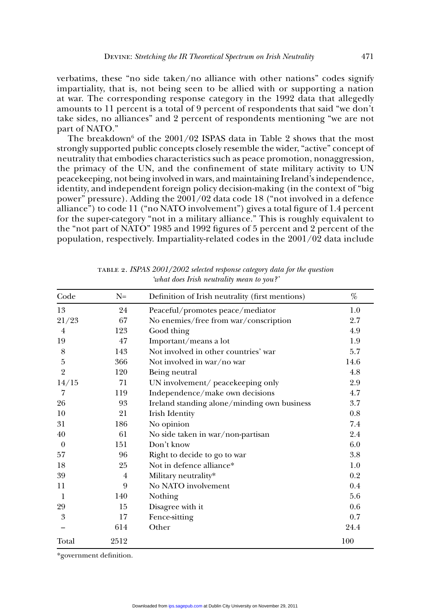verbatims, these "no side taken/no alliance with other nations" codes signify impartiality, that is, not being seen to be allied with or supporting a nation at war. The corresponding response category in the 1992 data that allegedly amounts to 11 percent is a total of 9 percent of respondents that said "we don't take sides, no alliances" and 2 percent of respondents mentioning "we are not part of NATO."

The breakdown<sup>6</sup> of the  $2001/02$  ISPAS data in Table 2 shows that the most strongly supported public concepts closely resemble the wider, "active" concept of neutrality that embodies characteristics such as peace promotion, nonaggression, the primacy of the UN, and the confinement of state military activity to UN peacekeeping, not being involved in wars, and maintaining Ireland's independence, identity, and independent foreign policy decision-making (in the context of "big power" pressure). Adding the 2001/02 data code 18 ("not involved in a defence alliance") to code  $11$  ("no NATO involvement") gives a total figure of 1.4 percent for the super-category "not in a military alliance." This is roughly equivalent to the "not part of NATO" 1985 and 1992 figures of 5 percent and 2 percent of the population, respectively. Impartiality-related codes in the 2001/02 data include

| Code           | $N=$ | Definition of Irish neutrality (first mentions) | %    |
|----------------|------|-------------------------------------------------|------|
| 13             | 24   | Peaceful/promotes peace/mediator                | 1.0  |
| 21/23          | 67   | No enemies/free from war/conscription           | 2.7  |
| $\overline{4}$ | 123  | Good thing                                      | 4.9  |
| 19             | 47   | Important/means a lot                           | 1.9  |
| 8              | 143  | Not involved in other countries' war            | 5.7  |
| 5              | 366  | Not involved in war/no war                      | 14.6 |
| $\overline{2}$ | 120  | Being neutral                                   | 4.8  |
| 14/15          | 71   | UN involvement/ peacekeeping only               | 2.9  |
| 7              | 119  | Independence/make own decisions                 | 4.7  |
| 26             | 93   | Ireland standing alone/minding own business     | 3.7  |
| 10             | 21   | Irish Identity                                  | 0.8  |
| 31             | 186  | No opinion                                      | 7.4  |
| 40             | 61   | No side taken in war/non-partisan               | 2.4  |
| $\theta$       | 151  | Don't know                                      | 6.0  |
| 57             | 96   | Right to decide to go to war                    | 3.8  |
| 18             | 25   | Not in defence alliance*                        | 1.0  |
| 39             | 4    | Military neutrality*                            | 0.2  |
| 11             | 9    | No NATO involvement                             | 0.4  |
| $\mathbf{1}$   | 140  | Nothing                                         | 5.6  |
| 29             | 15   | Disagree with it                                | 0.6  |
| 3              | 17   | Fence-sitting                                   | 0.7  |
|                | 614  | Other                                           | 24.4 |
| Total          | 2512 |                                                 | 100  |

table 2. *ISPAS 2001/2002 selected response category data for the question 'what does Irish neutrality mean to you?'*

\*government definition.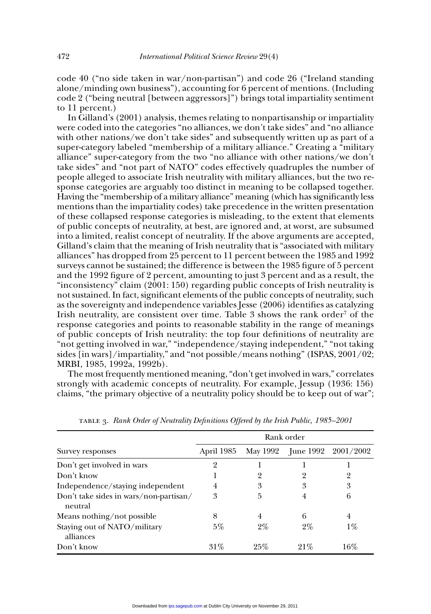code 40 ("no side taken in war/non-partisan") and code 26 ("Ireland standing alone/minding own business"), accounting for 6 percent of mentions. (Including code 2 ("being neutral [between aggressors]") brings total impartiality sentiment to 11 percent.)

In Gilland's (2001) analysis, themes relating to nonpartisanship or impartiality were coded into the categories "no alliances, we don't take sides" and "no alliance with other nations/we don't take sides" and subsequently written up as part of a super-category labeled "membership of a military alliance." Creating a "military alliance" super-category from the two "no alliance with other nations/we don't take sides" and "not part of NATO" codes effectively quadruples the number of people alleged to associate Irish neutrality with military alliances, but the two response categories are arguably too distinct in meaning to be collapsed together. Having the "membership of a military alliance" meaning (which has significantly less mentions than the impartiality codes) take precedence in the written presentation of these collapsed response categories is misleading, to the extent that elements of public concepts of neutrality, at best, are ignored and, at worst, are subsumed into a limited, realist concept of neutrality. If the above arguments are accepted, Gilland's claim that the meaning of Irish neutrality that is "associated with military alliances" has dropped from 25 percent to 11 percent between the 1985 and 1992 surveys cannot be sustained; the difference is between the 1985 figure of 5 percent and the 1992 figure of 2 percent, amounting to just 3 percent and as a result, the "inconsistency" claim (2001: 150) regarding public concepts of Irish neutrality is not sustained. In fact, significant elements of the public concepts of neutrality, such as the sovereignty and independence variables Jesse (2006) identifies as catalyzing Irish neutrality, are consistent over time. Table  $3$  shows the rank order $^7$  of the response categories and points to reasonable stability in the range of meanings of public concepts of Irish neutrality: the top four defi nitions of neutrality are "not getting involved in war," "independence/staying independent," "not taking sides [in wars]/impartiality," and "not possible/means nothing" (ISPAS, 2001/02; MRBI, 1985, 1992a, 1992b).

The most frequently mentioned meaning, "don't get involved in wars," correlates strongly with academic concepts of neutrality. For example, Jessup (1936: 156) claims, "the primary objective of a neutrality policy should be to keep out of war";

|                                                   | Rank order |          |       |                             |  |
|---------------------------------------------------|------------|----------|-------|-----------------------------|--|
| Survey responses                                  | April 1985 | May 1992 |       | June $1992 \quad 2001/2002$ |  |
| Don't get involved in wars                        | 9          |          |       |                             |  |
| Don't know                                        |            | 2        | 2     | 2                           |  |
| Independence/staying independent                  | 4          | 3        | 3     | 3                           |  |
| Don't take sides in wars/non-partisan/<br>neutral | 3          | 5        | 4     | 6                           |  |
| Means nothing/not possible                        | 8          | 4        | 6     | 4                           |  |
| Staying out of NATO/military<br>alliances         | $5\%$      | $2\%$    | $2\%$ | $1\%$                       |  |
| Don't know                                        | $31\%$     | 25%      | 21%   | 16%                         |  |

TABLE 3. Rank Order of Neutrality Definitions Offered by the Irish Public, 1985–2001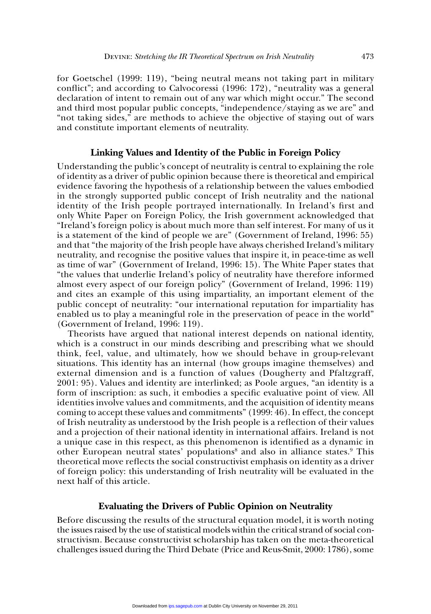for Goetschel (1999: 119), "being neutral means not taking part in military conflict"; and according to Calvocoressi (1996: 172), "neutrality was a general declaration of intent to remain out of any war which might occur." The second and third most popular public concepts, "independence/staying as we are" and "not taking sides," are methods to achieve the objective of staying out of wars and constitute important elements of neutrality.

# **Linking Values and Identity of the Public in Foreign Policy**

Understanding the public's concept of neutrality is central to explaining the role of identity as a driver of public opinion because there is theoretical and empirical evidence favoring the hypothesis of a relationship between the values embodied in the strongly supported public concept of Irish neutrality and the national identity of the Irish people portrayed internationally. In Ireland's first and only White Paper on Foreign Policy, the Irish government acknowledged that "Ireland's foreign policy is about much more than self interest. For many of us it is a statement of the kind of people we are" (Government of Ireland, 1996: 55) and that "the majority of the Irish people have always cherished Ireland's military neutrality, and recognise the positive values that inspire it, in peace-time as well as time of war" (Government of Ireland, 1996: 15). The White Paper states that "the values that underlie Ireland's policy of neutrality have therefore informed almost every aspect of our foreign policy" (Government of Ireland, 1996: 119) and cites an example of this using impartiality, an important element of the public concept of neutrality: "our international reputation for impartiality has enabled us to play a meaningful role in the preservation of peace in the world" (Government of Ireland, 1996: 119).

Theorists have argued that national interest depends on national identity, which is a construct in our minds describing and prescribing what we should think, feel, value, and ultimately, how we should behave in group-relevant situations. This identity has an internal (how groups imagine themselves) and external dimension and is a function of values (Dougherty and Pfaltzgraff, 2001: 95). Values and identity are interlinked; as Poole argues, "an identity is a form of inscription: as such, it embodies a specific evaluative point of view. All identities involve values and commitments, and the acquisition of identity means coming to accept these values and commitments" (1999: 46). In effect, the concept of Irish neutrality as understood by the Irish people is a refl ection of their values and a projection of their national identity in international affairs. Ireland is not a unique case in this respect, as this phenomenon is identified as a dynamic in other European neutral states' populations<sup>8</sup> and also in alliance states.<sup>9</sup> This theoretical move reflects the social constructivist emphasis on identity as a driver of foreign policy: this understanding of Irish neutrality will be evaluated in the next half of this article.

# **Evaluating the Drivers of Public Opinion on Neutrality**

Before discussing the results of the structural equation model, it is worth noting the issues raised by the use of statistical models within the critical strand of social constructivism. Because constructivist scholarship has taken on the meta-theoretical challenges issued during the Third Debate (Price and Reus-Smit, 2000: 1786), some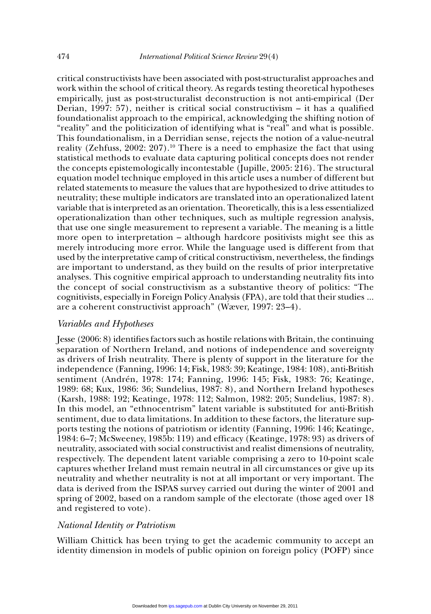critical constructivists have been associated with post-structuralist approaches and work within the school of critical theory. As regards testing theoretical hypotheses empirically, just as post-structuralist deconstruction is not anti-empirical (Der Derian,  $1997: 57$ , neither is critical social constructivism – it has a qualified foundationalist approach to the empirical, acknowledging the shifting notion of "reality" and the politicization of identifying what is "real" and what is possible. This foundationalism, in a Derridian sense, rejects the notion of a value-neutral reality (Zehfuss, 2002: 207).<sup>10</sup> There is a need to emphasize the fact that using statistical methods to evaluate data capturing political concepts does not render the concepts epistemologically incontestable (Jupille, 2005: 216). The structural equation model technique employed in this article uses a number of different but related statements to measure the values that are hypothesized to drive attitudes to neutrality; these multiple indicators are translated into an operationalized latent variable that is interpreted as an orientation. Theoretically, this is a less essentialized operationalization than other techniques, such as multiple regression analysis, that use one single measurement to represent a variable. The meaning is a little more open to interpretation – although hardcore positivists might see this as merely introducing more error. While the language used is different from that used by the interpretative camp of critical constructivism, nevertheless, the findings are important to understand, as they build on the results of prior interpretative analyses. This cognitive empirical approach to understanding neutrality fits into the concept of social constructivism as a substantive theory of politics: "The cognitivists, especially in Foreign Policy Analysis (FPA), are told that their studies ... are a coherent constructivist approach" (Wæver, 1997: 23–4).

### *Variables and Hypotheses*

Jesse  $(2006: 8)$  identifies factors such as hostile relations with Britain, the continuing separation of Northern Ireland, and notions of independence and sovereignty as drivers of Irish neutrality. There is plenty of support in the literature for the independence (Fanning, 1996: 14; Fisk, 1983: 39; Keatinge, 1984: 108), anti-British sentiment (Andrén, 1978: 174; Fanning, 1996: 145; Fisk, 1983: 76; Keatinge, 1989: 68; Kux, 1986: 36; Sundelius, 1987: 8), and Northern Ireland hypotheses (Karsh, 1988: 192; Keatinge, 1978: 112; Salmon, 1982: 205; Sundelius, 1987: 8). In this model, an "ethnocentrism" latent variable is substituted for anti-British sentiment, due to data limitations. In addition to these factors, the literature supports testing the notions of patriotism or identity (Fanning, 1996: 146; Keatinge, 1984: 6–7; McSweeney, 1985b: 119) and efficacy (Keatinge, 1978: 93) as drivers of neutrality, associated with social constructivist and realist dimensions of neutrality, respectively. The dependent latent variable comprising a zero to 10-point scale captures whether Ireland must remain neutral in all circumstances or give up its neutrality and whether neutrality is not at all important or very important. The data is derived from the ISPAS survey carried out during the winter of 2001 and spring of 2002, based on a random sample of the electorate (those aged over 18 and registered to vote).

#### *National Identity or Patriotism*

William Chittick has been trying to get the academic community to accept an identity dimension in models of public opinion on foreign policy (POFP) since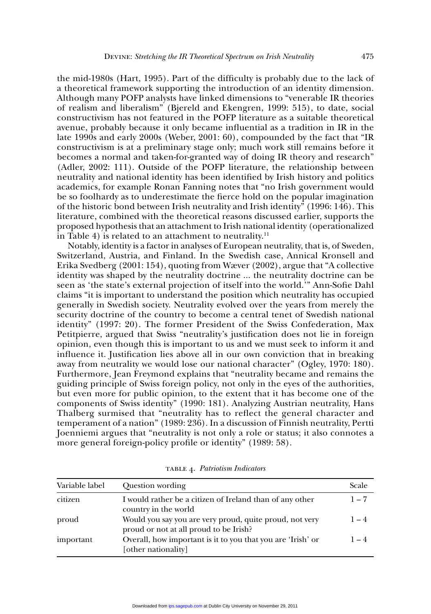the mid-1980s (Hart, 1995). Part of the difficulty is probably due to the lack of a theoretical framework supporting the introduction of an identity dimension. Although many POFP analysts have linked dimensions to "venerable IR theories of realism and liberalism" (Bjereld and Ekengren, 1999: 515), to date, social constructivism has not featured in the POFP literature as a suitable theoretical avenue, probably because it only became influential as a tradition in IR in the late 1990s and early 2000s (Weber, 2001: 60), compounded by the fact that "IR constructivism is at a preliminary stage only; much work still remains before it becomes a normal and taken-for-granted way of doing IR theory and research" (Adler, 2002: 111). Outside of the POFP literature, the relationship between neutrality and national identity has been identified by Irish history and politics academics, for example Ronan Fanning notes that "no Irish government would be so foolhardy as to underestimate the fierce hold on the popular imagination of the historic bond between Irish neutrality and Irish identity" (1996: 146). This literature, combined with the theoretical reasons discussed earlier, supports the proposed hypothesis that an attachment to Irish national identity (operationalized in Table 4) is related to an attachment to neutrality.<sup>11</sup>

Notably, identity is a factor in analyses of European neutrality, that is, of Sweden, Switzerland, Austria, and Finland. In the Swedish case, Annical Kronsell and Erika Svedberg (2001: 154), quoting from Wæver (2002), argue that "A collective identity was shaped by the neutrality doctrine ... the neutrality doctrine can be seen as 'the state's external projection of itself into the world.'" Ann-Sofie Dahl claims "it is important to understand the position which neutrality has occupied generally in Swedish society. Neutrality evolved over the years from merely the security doctrine of the country to become a central tenet of Swedish national identity" (1997: 20). The former President of the Swiss Confederation, Max Petitpierre, argued that Swiss "neutrality's justification does not lie in foreign opinion, even though this is important to us and we must seek to inform it and influence it. Justification lies above all in our own conviction that in breaking away from neutrality we would lose our national character" (Ogley, 1970: 180). Furthermore, Jean Freymond explains that "neutrality became and remains the guiding principle of Swiss foreign policy, not only in the eyes of the authorities, but even more for public opinion, to the extent that it has become one of the components of Swiss identity" (1990: 181). Analyzing Austrian neutrality, Hans Thalberg surmised that "neutrality has to reflect the general character and temperament of a nation" (1989: 236). In a discussion of Finnish neutrality, Pertti Joenniemi argues that "neutrality is not only a role or status; it also connotes a more general foreign-policy profile or identity" (1989: 58).

| Variable label | Question wording                                                                                  | Scale   |
|----------------|---------------------------------------------------------------------------------------------------|---------|
| citizen        | I would rather be a citizen of Ireland than of any other<br>country in the world                  | $1 - 7$ |
| proud          | Would you say you are very proud, quite proud, not very<br>proud or not at all proud to be Irish? | $1 - 4$ |
| important      | Overall, how important is it to you that you are 'Irish' or<br>[other nationality]                | $1 - 4$ |

table 4. *Patriotism Indicators*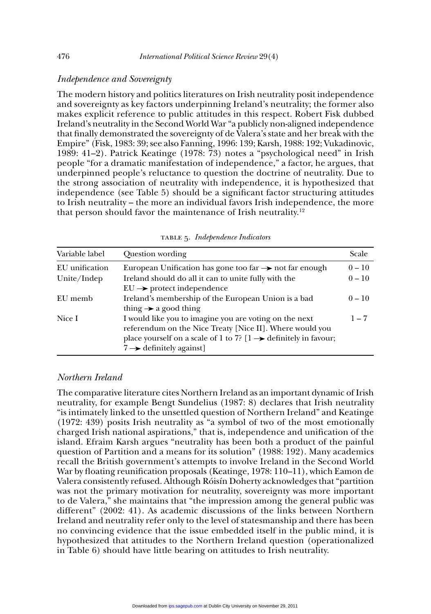# *Independence and Sovereignty*

The modern history and politics literatures on Irish neutrality posit independence and sovereignty as key factors underpinning Ireland's neutrality; the former also makes explicit reference to public attitudes in this respect. Robert Fisk dubbed Ireland's neutrality in the Second World War "a publicly non-aligned independence that finally demonstrated the sovereignty of de Valera's state and her break with the Empire" (Fisk, 1983: 39; see also Fanning, 1996: 139; Karsh, 1988: 192; Vukadinovic, 1989: 41–2). Patrick Keatinge (1978: 73) notes a "psychological need" in Irish people "for a dramatic manifestation of independence," a factor, he argues, that underpinned people's reluctance to question the doctrine of neutrality. Due to the strong association of neutrality with independence, it is hypothesized that independence (see Table 5) should be a significant factor structuring attitudes to Irish neutrality – the more an individual favors Irish independence, the more that person should favor the maintenance of Irish neutrality.12

| Variable label | Question wording                                                                                                                                                                                                                                 | Scale    |
|----------------|--------------------------------------------------------------------------------------------------------------------------------------------------------------------------------------------------------------------------------------------------|----------|
| EU unification | European Unification has gone too far $\rightarrow$ not far enough                                                                                                                                                                               | $0 - 10$ |
| Unite/Indep    | Ireland should do all it can to unite fully with the<br>$EU \rightarrow$ protect independence                                                                                                                                                    | $0 - 10$ |
| EU memb        | Ireland's membership of the European Union is a bad<br>thing $\rightarrow$ a good thing                                                                                                                                                          | $0 - 10$ |
| Nice I         | I would like you to imagine you are voting on the next<br>referendum on the Nice Treaty [Nice II]. Where would you<br>place yourself on a scale of 1 to 7? $[1 \rightarrow \text{definitely in favour}$ ;<br>$7 \rightarrow$ definitely against] | $1 - 7$  |

table 5. *Independence Indicators*

# *Northern Ireland*

The comparative literature cites Northern Ireland as an important dynamic of Irish neutrality, for example Bengt Sundelius (1987: 8) declares that Irish neutrality "is intimately linked to the unsettled question of Northern Ireland" and Keatinge  $(1972: 439)$  posits Irish neutrality as "a symbol of two of the most emotionally charged Irish national aspirations," that is, independence and unification of the island. Efraim Karsh argues "neutrality has been both a product of the painful question of Partition and a means for its solution" (1988: 192). Many academics recall the British government's attempts to involve Ireland in the Second World War by floating reunification proposals (Keatinge, 1978: 110–11), which Eamon de Valera consistently refused. Although Róisín Doherty acknowledges that "partition was not the primary motivation for neutrality, sovereignty was more important to de Valera," she maintains that "the impression among the general public was different" (2002: 41). As academic discussions of the links between Northern Ireland and neutrality refer only to the level of statesmanship and there has been no convincing evidence that the issue embedded itself in the public mind, it is hypothesized that attitudes to the Northern Ireland question (operationalized in Table 6) should have little bearing on attitudes to Irish neutrality.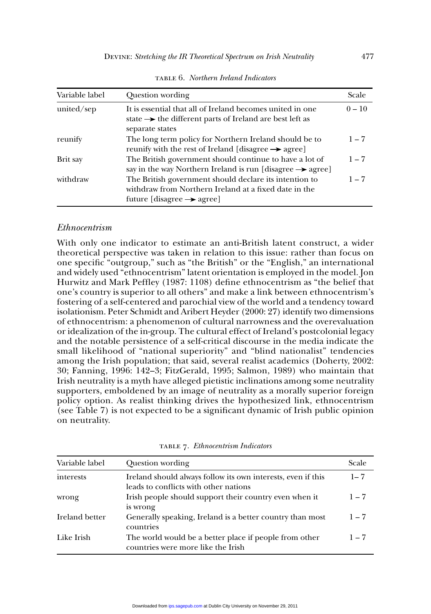| Variable label | Question wording                                                                                                                                         | Scale    |
|----------------|----------------------------------------------------------------------------------------------------------------------------------------------------------|----------|
| united/sep     | It is essential that all of Ireland becomes united in one<br>state $\rightarrow$ the different parts of Ireland are best left as<br>separate states      | $0 - 10$ |
| reunify        | The long term policy for Northern Ireland should be to<br>reunify with the rest of Ireland [disagree → agree]                                            | $1 - 7$  |
| Brit say       | The British government should continue to have a lot of<br>say in the way Northern Ireland is run [disagree $\rightarrow$ agree]                         | $1 - 7$  |
| withdraw       | The British government should declare its intention to<br>withdraw from Northern Ireland at a fixed date in the<br>future [disagree $\rightarrow$ agree] | $1 - 7$  |

table 6. *Northern Ireland Indicators*

## *Ethnocentrism*

With only one indicator to estimate an anti-British latent construct, a wider theoretical perspective was taken in relation to this issue: rather than focus on one specific "outgroup," such as "the British" or the "English," an international and widely used "ethnocentrism" latent orientation is employed in the model. Jon Hurwitz and Mark Peffley (1987: 1108) define ethnocentrism as "the belief that one's country is superior to all others" and make a link between ethnocentrism's fostering of a self-centered and parochial view of the world and a tendency toward isolationism. Peter Schmidt and Aribert Heyder (2000: 27) identify two dimensions of ethnocentrism: a phenomenon of cultural narrowness and the overevaluation or idealization of the in-group. The cultural effect of Ireland's postcolonial legacy and the notable persistence of a self-critical discourse in the media indicate the small likelihood of "national superiority" and "blind nationalist" tendencies among the Irish population; that said, several realist academics (Doherty, 2002: 30; Fanning, 1996: 142–3; FitzGerald, 1995; Salmon, 1989) who maintain that Irish neutrality is a myth have alleged pietistic inclinations among some neutrality supporters, emboldened by an image of neutrality as a morally superior foreign policy option. As realist thinking drives the hypothesized link, ethnocentrism (see Table 7) is not expected to be a significant dynamic of Irish public opinion on neutrality.

| Variable label | Question wording                                                                                      | Scale   |
|----------------|-------------------------------------------------------------------------------------------------------|---------|
| interests      | Ireland should always follow its own interests, even if this<br>leads to conflicts with other nations | $1 - 7$ |
| wrong          | Irish people should support their country even when it<br>is wrong                                    | $1 - 7$ |
| Ireland better | Generally speaking, Ireland is a better country than most<br>countries                                | $1 - 7$ |
| Like Irish     | The world would be a better place if people from other<br>countries were more like the Irish          | $1 - 7$ |

table 7. *Ethnocentrism Indicators*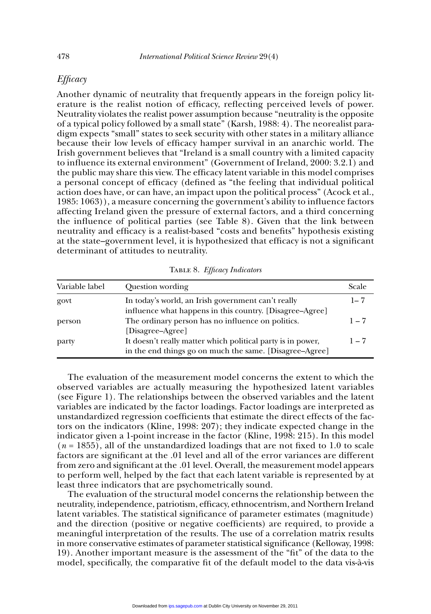# *Efficacy*

Another dynamic of neutrality that frequently appears in the foreign policy literature is the realist notion of efficacy, reflecting perceived levels of power. Neutrality violates the realist power assumption because "neutrality is the opposite of a typical policy followed by a small state" (Karsh, 1988: 4). The neorealist paradigm expects "small" states to seek security with other states in a military alliance because their low levels of efficacy hamper survival in an anarchic world. The Irish government believes that "Ireland is a small country with a limited capacity to influence its external environment" (Government of Ireland,  $2000: 3.2.1$ ) and the public may share this view. The efficacy latent variable in this model comprises a personal concept of efficacy (defined as "the feeling that individual political action does have, or can have, an impact upon the political process" (Acock et al., 1985: 1063), a measure concerning the government's ability to influence factors affecting Ireland given the pressure of external factors, and a third concerning the influence of political parties (see Table 8). Given that the link between neutrality and efficacy is a realist-based "costs and benefits" hypothesis existing at the state–government level, it is hypothesized that efficacy is not a significant determinant of attitudes to neutrality.

| Variable label | Question wording                                                                                                       | Scale   |
|----------------|------------------------------------------------------------------------------------------------------------------------|---------|
| govt           | In today's world, an Irish government can't really<br>influence what happens in this country. [Disagree–Agree]         | $1 - 7$ |
| person         | The ordinary person has no influence on politics.<br>[Disagree-Agree]                                                  | $1 - 7$ |
| party          | It doesn't really matter which political party is in power,<br>in the end things go on much the same. [Disagree–Agree] | $1 - 7$ |

TABLE 8. Efficacy Indicators

The evaluation of the measurement model concerns the extent to which the observed variables are actually measuring the hypothesized latent variables (see Figure 1). The relationships between the observed variables and the latent variables are indicated by the factor loadings. Factor loadings are interpreted as unstandardized regression coefficients that estimate the direct effects of the factors on the indicators (Kline, 1998: 207); they indicate expected change in the indicator given a 1-point increase in the factor (Kline, 1998: 215). In this model  $(n = 1855)$ , all of the unstandardized loadings that are not fixed to 1.0 to scale factors are significant at the .01 level and all of the error variances are different from zero and significant at the .01 level. Overall, the measurement model appears to perform well, helped by the fact that each latent variable is represented by at least three indicators that are psychometrically sound.

The evaluation of the structural model concerns the relationship between the neutrality, independence, patriotism, efficacy, ethnocentrism, and Northern Ireland latent variables. The statistical significance of parameter estimates (magnitude) and the direction (positive or negative coefficients) are required, to provide a meaningful interpretation of the results. The use of a correlation matrix results in more conservative estimates of parameter statistical significance (Kelloway, 1998: 19). Another important measure is the assessment of the "fit" of the data to the model, specifically, the comparative fit of the default model to the data vis-à-vis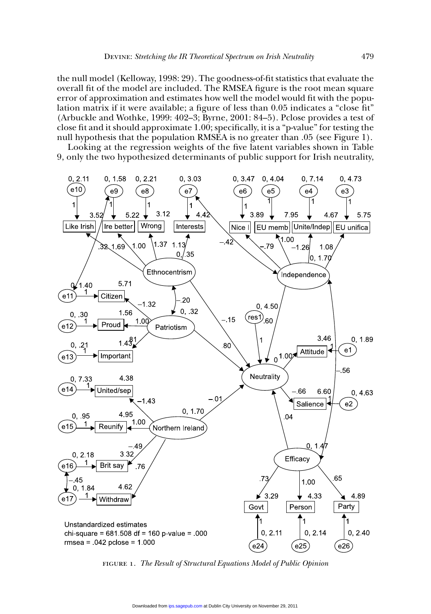the null model (Kelloway, 1998: 29). The goodness-of-fi t statistics that evaluate the overall fit of the model are included. The RMSEA figure is the root mean square error of approximation and estimates how well the model would fit with the population matrix if it were available; a figure of less than 0.05 indicates a "close fit" (Arbuckle and Wothke, 1999: 402–3; Byrne, 2001: 84–5). Pclose provides a test of close fit and it should approximate 1.00; specifically, it is a "p-value" for testing the null hypothesis that the population RMSEA is no greater than .05 (see Figure 1).

Looking at the regression weights of the five latent variables shown in Table 9, only the two hypothesized determinants of public support for Irish neutrality,



fi gure 1. *The Result of Structural Equations Model of Public Opinion*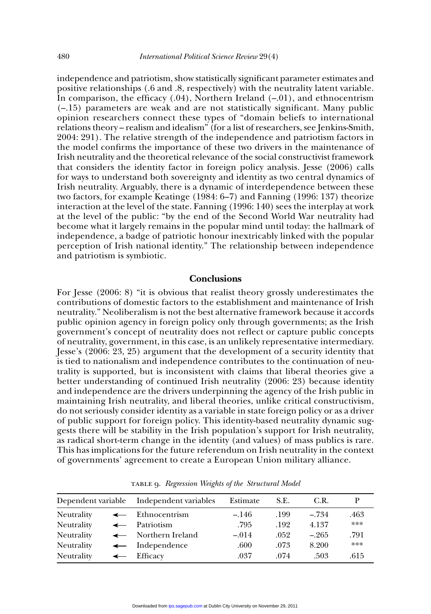independence and patriotism, show statistically significant parameter estimates and positive relationships (.6 and .8, respectively) with the neutrality latent variable. In comparison, the efficacy  $(.04)$ , Northern Ireland  $(-.01)$ , and ethnocentrism  $(-.15)$  parameters are weak and are not statistically significant. Many public opinion researchers connect these types of "domain beliefs to international relations theory – realism and idealism" (for a list of researchers, see Jenkins-Smith, 2004: 291). The relative strength of the independence and patriotism factors in the model confirms the importance of these two drivers in the maintenance of Irish neutrality and the theoretical relevance of the social constructivist framework that considers the identity factor in foreign policy analysis. Jesse (2006) calls for ways to understand both sovereignty and identity as two central dynamics of Irish neutrality. Arguably, there is a dynamic of interdependence between these two factors, for example Keatinge (1984: 6–7) and Fanning (1996: 137) theorize interaction at the level of the state. Fanning (1996: 140) sees the interplay at work at the level of the public: "by the end of the Second World War neutrality had become what it largely remains in the popular mind until today: the hallmark of independence, a badge of patriotic honour inextricably linked with the popular perception of Irish national identity." The relationship between independence and patriotism is symbiotic.

#### **Conclusions**

For Jesse (2006: 8) "it is obvious that realist theory grossly underestimates the contributions of domestic factors to the establishment and maintenance of Irish neutrality." Neoliberalism is not the best alternative framework because it accords public opinion agency in foreign policy only through governments; as the Irish government's concept of neutrality does not reflect or capture public concepts of neutrality, government, in this case, is an unlikely representative intermediary. Jesse's (2006: 23, 25) argument that the development of a security identity that is tied to nationalism and independence contributes to the continuation of neutrality is supported, but is inconsistent with claims that liberal theories give a better understanding of continued Irish neutrality (2006: 23) because identity and independence are the drivers underpinning the agency of the Irish public in maintaining Irish neutrality, and liberal theories, unlike critical constructivism, do not seriously consider identity as a variable in state foreign policy or as a driver of public support for foreign policy. This identity-based neutrality dynamic suggests there will be stability in the Irish population's support for Irish neutrality, as radical short-term change in the identity (and values) of mass publics is rare. This has implications for the future referendum on Irish neutrality in the context of governments' agreement to create a European Union military alliance.

| Dependent variable |              | Independent variables      | Estimate | S.E. | C.R.    |      |
|--------------------|--------------|----------------------------|----------|------|---------|------|
| Neutrality         |              | $\leftarrow$ Ethnocentrism | $-.146$  | .199 | $-.734$ | .463 |
| Neutrality         |              | $\leftarrow$ Patriotism    | .795     | .192 | 4.137   | ***  |
| Neutrality         |              | ← Northern Ireland         | $-.014$  | .052 | $-.265$ | .791 |
| Neutrality         |              | $\leftarrow$ Independence  | .600     | .073 | 8.200   | ***  |
| Neutrality         | $\leftarrow$ | <b>Efficacy</b>            | .037     | .074 | .503    | .615 |

table 9. *Regression Weights of the Structural Model*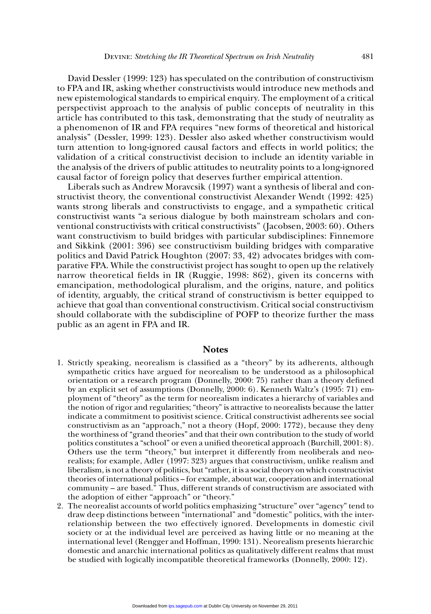David Dessler (1999: 123) has speculated on the contribution of constructivism to FPA and IR, asking whether constructivists would introduce new methods and new epistemological standards to empirical enquiry. The employment of a critical perspectivist approach to the analysis of public concepts of neutrality in this article has contributed to this task, demonstrating that the study of neutrality as a phenomenon of IR and FPA requires "new forms of theoretical and historical analysis" (Dessler, 1999: 123). Dessler also asked whether constructivism would turn attention to long-ignored causal factors and effects in world politics; the validation of a critical constructivist decision to include an identity variable in the analysis of the drivers of public attitudes to neutrality points to a long-ignored causal factor of foreign policy that deserves further empirical attention.

Liberals such as Andrew Moravcsik (1997) want a synthesis of liberal and constructivist theory, the conventional constructivist Alexander Wendt (1992: 425) wants strong liberals and constructivists to engage, and a sympathetic critical constructivist wants "a serious dialogue by both mainstream scholars and conventional constructivists with critical constructivists" (Jacobsen, 2003: 60). Others want constructivism to build bridges with particular subdisciplines: Finnemore and Sikkink (2001: 396) see constructivism building bridges with comparative politics and David Patrick Houghton (2007: 33, 42) advocates bridges with comparative FPA. While the constructivist project has sought to open up the relatively narrow theoretical fields in IR (Ruggie, 1998: 862), given its concerns with emancipation, methodological pluralism, and the origins, nature, and politics of identity, arguably, the critical strand of constructivism is better equipped to achieve that goal than conventional constructivism. Critical social constructivism should collaborate with the subdiscipline of POFP to theorize further the mass public as an agent in FPA and IR.

## **Notes**

- 1. Strictly speaking, neorealism is classified as a "theory" by its adherents, although sympathetic critics have argued for neorealism to be understood as a philosophical orientation or a research program (Donnelly, 2000: 75) rather than a theory defined by an explicit set of assumptions (Donnelly, 2000: 6). Kenneth Waltz's (1995: 71) employment of "theory" as the term for neorealism indicates a hierarchy of variables and the notion of rigor and regularities; "theory" is attractive to neorealists because the latter indicate a commitment to positivist science. Critical constructivist adherents see social constructivism as an "approach," not a theory (Hopf, 2000: 1772), because they deny the worthiness of "grand theories" and that their own contribution to the study of world politics constitutes a "school" or even a unified theoretical approach (Burchill, 2001: 8). Others use the term "theory," but interpret it differently from neoliberals and neorealists; for example, Adler (1997: 323) argues that constructivism, unlike realism and liberalism, is not a theory of politics, but "rather, it is a social theory on which constructivist theories of international politics – for example, about war, cooperation and international community – are based." Thus, different strands of constructivism are associated with the adoption of either "approach" or "theory."
- 2. The neorealist accounts of world politics emphasizing "structure" over "agency" tend to draw deep distinctions between "international" and "domestic" politics, with the interrelationship between the two effectively ignored. Developments in domestic civil society or at the individual level are perceived as having little or no meaning at the international level (Rengger and Hoffman, 1990: 131). Neorealism presents hierarchic domestic and anarchic international politics as qualitatively different realms that must be studied with logically incompatible theoretical frameworks (Donnelly, 2000: 12).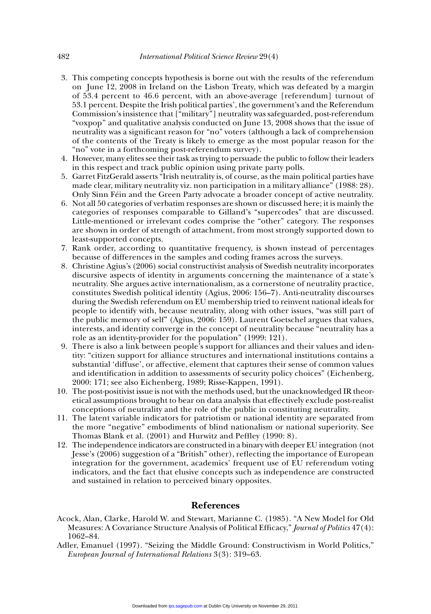- 3. This competing concepts hypothesis is borne out with the results of the referendum on June 12, 2008 in Ireland on the Lisbon Treaty, which was defeated by a margin of 53.4 percent to 46.6 percent, with an above-average [referendum] turnout of 53.1 percent. Despite the Irish political parties', the government's and the Referendum Commission's insistence that ["military''] neutrality was safeguarded, post-referendum "voxpop'' and qualitative analysis conducted on June 13, 2008 shows that the issue of neutrality was a significant reason for "no" voters (although a lack of comprehension of the contents of the Treaty is likely to emerge as the most popular reason for the "no" vote in a forthcoming post-referendum survey).
- 4. However, many elites see their task as trying to persuade the public to follow their leaders in this respect and track public opinion using private party polls.
- 5. Garret FitzGerald asserts "Irish neutrality is, of course, as the main political parties have made clear, military neutrality viz. non participation in a military alliance" (1988: 28). Only Sinn Féin and the Green Party advocate a broader concept of active neutrality.
- 6. Not all 50 categories of verbatim responses are shown or discussed here; it is mainly the categories of responses comparable to Gilland's "supercodes" that are discussed. Little-mentioned or irrelevant codes comprise the "other" category. The responses are shown in order of strength of attachment, from most strongly supported down to least-supported concepts.
- 7. Rank order, according to quantitative frequency, is shown instead of percentages because of differences in the samples and coding frames across the surveys.
- 8. Christine Agius's (2006) social constructivist analysis of Swedish neutrality incorporates discursive aspects of identity in arguments concerning the maintenance of a state's neutrality. She argues active internationalism, as a cornerstone of neutrality practice, constitutes Swedish political identity (Agius, 2006: 156–7). Anti-neutrality discourses during the Swedish referendum on EU membership tried to reinvent national ideals for people to identify with, because neutrality, along with other issues, "was still part of the public memory of self" (Agius, 2006: 159). Laurent Goetschel argues that values, interests, and identity converge in the concept of neutrality because "neutrality has a role as an identity-provider for the population" (1999: 121).
- 9. There is also a link between people's support for alliances and their values and identity: "citizen support for alliance structures and international institutions contains a substantial 'diffuse', or affective, element that captures their sense of common values and identification in addition to assessments of security policy choices" (Eichenberg, 2000: 171; see also Eichenberg, 1989; Risse-Kappen, 1991).
- 10. The post-positivist issue is not with the methods used, but the unacknowledged IR theoretical assumptions brought to bear on data analysis that effectively exclude post-realist conceptions of neutrality and the role of the public in constituting neutrality.
- 11. The latent variable indicators for patriotism or national identity are separated from the more "negative" embodiments of blind nationalism or national superiority. See Thomas Blank et al. (2001) and Hurwitz and Peffley (1990: 8).
- 12. The independence indicators are constructed in a binary with deeper EU integration (not Jesse's (2006) suggestion of a "British" other), reflecting the importance of European integration for the government, academics' frequent use of EU referendum voting indicators, and the fact that elusive concepts such as independence are constructed and sustained in relation to perceived binary opposites.

#### **References**

- Acock, Alan, Clarke, Harold W. and Stewart, Marianne C. (1985). "A New Model for Old Measures: A Covariance Structure Analysis of Political Efficacy," *Journal of Politics* 47(4): 1062–84.
- Adler, Emanuel (1997). "Seizing the Middle Ground: Constructivism in World Politics," *European Journal of International Relations* 3(3): 319–63.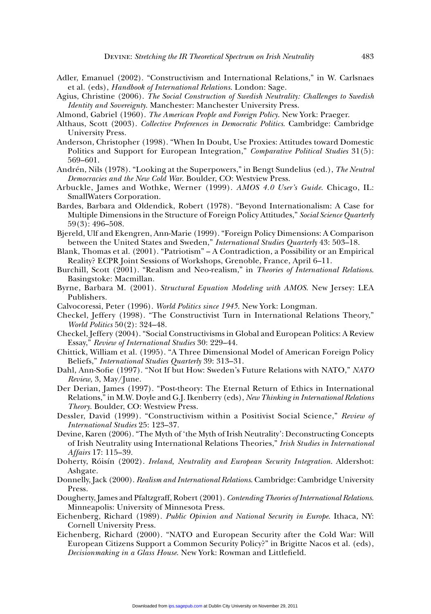- Adler, Emanuel (2002). "Constructivism and International Relations," in W. Carlsnaes et al. (eds), *Handbook of International Relations*. London: Sage.
- Agius, Christine (2006). *The Social Construction of Swedish Neutrality: Challenges to Swedish Identity and Sovereignty*. Manchester: Manchester University Press.
- Almond, Gabriel (1960). *The American People and Foreign Policy*. New York: Praeger.
- Althaus, Scott (2003). *Collective Preferences in Democratic Politics*. Cambridge: Cambridge University Press.
- Anderson, Christopher (1998). "When In Doubt, Use Proxies: Attitudes toward Domestic Politics and Support for European Integration," *Comparative Political Studies* 31(5): 569–601.
- Andrén, Nils (1978). "Looking at the Superpowers," in Bengt Sundelius (ed.), *The Neutral Democracies and the New Cold War*. Boulder, CO: Westview Press.
- Arbuckle, James and Wothke, Werner (1999). *AMOS 4.0 User's Guide*. Chicago, IL: SmallWaters Corporation.
- Bardes, Barbara and Oldendick, Robert (1978). "Beyond Internationalism: A Case for Multiple Dimensions in the Structure of Foreign Policy Attitudes," *Social Science Quarterly* 59(3): 496–508.
- Bjereld, Ulf and Ekengren, Ann-Marie (1999). "Foreign Policy Dimensions: A Comparison between the United States and Sweden," *International Studies Quarterly* 43: 503–18.
- Blank, Thomas et al. (2001). "Patriotism" A Contradiction, a Possibility or an Empirical Reality? ECPR Joint Sessions of Workshops, Grenoble, France, April 6–11.
- Burchill, Scott (2001). "Realism and Neo-realism," in *Theories of International Relations*. Basingstoke: Macmillan.
- Byrne, Barbara M. (2001). *Structural Equation Modeling with AMOS*. New Jersey: LEA Publishers.
- Calvocoressi, Peter (1996). *World Politics since 1945*. New York: Longman.
- Checkel, Jeffery (1998). "The Constructivist Turn in International Relations Theory," *World Politics* 50(2): 324–48.
- Checkel, Jeffery (2004). "Social Constructivisms in Global and European Politics: A Review Essay," *Review of International Studies* 30: 229–44.
- Chittick, William et al. (1995). "A Three Dimensional Model of American Foreign Policy Beliefs," *International Studies Quarterly* 39: 313–31.
- Dahl, Ann-Sofie (1997). "Not If but How: Sweden's Future Relations with NATO," *NATO Review*, 3, May/June.
- Der Derian, James (1997). "Post-theory: The Eternal Return of Ethics in International Relations," in M.W. Doyle and G.J. Ikenberry (eds), *New Thinking in International Relations Theory*. Boulder, CO: Westview Press.
- Dessler, David (1999). "Constructivism within a Positivist Social Science," *Review of International Studies* 25: 123–37.
- Devine, Karen (2006). "The Myth of 'the Myth of Irish Neutrality': Deconstructing Concepts of Irish Neutrality using International Relations Theories," *Irish Studies in International Affairs* 17: 115–39.
- Doherty, Róisín (2002). *Ireland, Neutrality and European Security Integration*. Aldershot: Ashgate.
- Donnelly, Jack (2000). *Realism and International Relations*. Cambridge: Cambridge University Press.
- Dougherty, James and Pfaltzgraff, Robert (2001). *Contending Theories of International Relations*. Minneapolis: University of Minnesota Press.
- Eichenberg, Richard (1989). *Public Opinion and National Security in Europe*. Ithaca, NY: Cornell University Press.
- Eichenberg, Richard (2000). "NATO and European Security after the Cold War: Will European Citizens Support a Common Security Policy?" in Brigitte Nacos et al. (eds), Decisionmaking in a Glass House. New York: Rowman and Littlefield.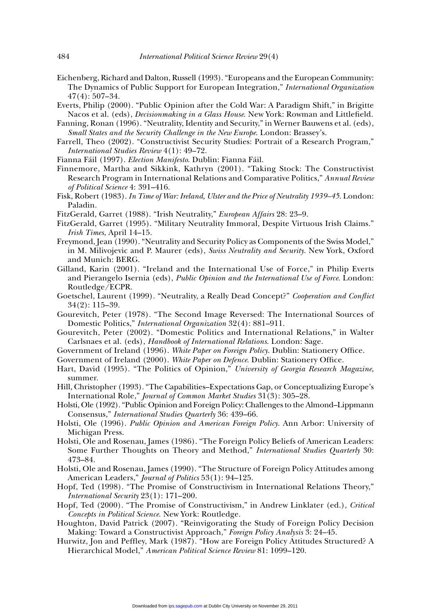- Eichenberg, Richard and Dalton, Russell (1993). "Europeans and the European Community: The Dynamics of Public Support for European Integration," *International Organization* 47(4): 507–34.
- Everts, Philip (2000). "Public Opinion after the Cold War: A Paradigm Shift," in Brigitte Nacos et al. (eds), *Decisionmaking in a Glass House*. New York: Rowman and Littlefield.
- Fanning, Ronan (1996). "Neutrality, Identity and Security," in Werner Bauwens et al. (eds), *Small States and the Security Challenge in the New Europe*. London: Brassey's.
- Farrell, Theo (2002). "Constructivist Security Studies: Portrait of a Research Program," *International Studies Review* 4(1): 49–72.
- Fianna Fáil (1997). *Election Manifesto*. Dublin: Fianna Fáil.
- Finnemore, Martha and Sikkink, Kathryn (2001). "Taking Stock: The Constructivist Research Program in International Relations and Comparative Politics," *Annual Review of Political Science* 4: 391–416.
- Fisk, Robert (1983). *In Time of War: Ireland, Ulster and the Price of Neutrality 1939–45*. London: Paladin.
- FitzGerald, Garret (1988). "Irish Neutrality," *European Affairs* 28: 23–9.
- FitzGerald, Garret (1995). "Military Neutrality Immoral, Despite Virtuous Irish Claims." *Irish Times*, April 14–15.
- Freymond, Jean (1990). "Neutrality and Security Policy as Components of the Swiss Model," in M. Milivojevic and P. Maurer (eds), *Swiss Neutrality and Security*. New York, Oxford and Munich: BERG.
- Gilland, Karin (2001). "Ireland and the International Use of Force," in Philip Everts and Pierangelo Isernia (eds), *Public Opinion and the International Use of Force*. London: Routledge/ECPR.
- Goetschel, Laurent (1999). "Neutrality, a Really Dead Concept?" *Cooperation and Conflict* 34(2): 115–39.
- Gourevitch, Peter (1978). "The Second Image Reversed: The International Sources of Domestic Politics," *International Organization* 32(4): 881–911.
- Gourevitch, Peter (2002). "Domestic Politics and International Relations," in Walter Carlsnaes et al. (eds), *Handbook of International Relations*. London: Sage.
- Government of Ireland (1996). *White Paper on Foreign Policy*. Dublin: Stationery Office.

Government of Ireland (2000). *White Paper on Defence*. Dublin: Stationery Office.

- Hart, David (1995). "The Politics of Opinion," *University of Georgia Research Magazine*, summer.
- Hill, Christopher (1993). "The Capabilities–Expectations Gap, or Conceptualizing Europe's International Role," *Journal of Common Market Studies* 31(3): 305–28.
- Holsti, Ole (1992). "Public Opinion and Foreign Policy: Challenges to the Almond–Lippmann Consensus," *International Studies Quarterly* 36: 439–66.
- Holsti, Ole (1996). *Public Opinion and American Foreign Policy*. Ann Arbor: University of Michigan Press.
- Holsti, Ole and Rosenau, James (1986). "The Foreign Policy Beliefs of American Leaders: Some Further Thoughts on Theory and Method," *International Studies Quarterly* 30: 473–84.
- Holsti, Ole and Rosenau, James (1990). "The Structure of Foreign Policy Attitudes among American Leaders," *Journal of Politics* 53(1): 94–125.
- Hopf, Ted (1998). "The Promise of Constructivism in International Relations Theory," *International Security* 23(1): 171–200.
- Hopf, Ted (2000). "The Promise of Constructivism," in Andrew Linklater (ed.), *Critical Concepts in Political Science*. New York: Routledge.
- Houghton, David Patrick (2007). "Reinvigorating the Study of Foreign Policy Decision Making: Toward a Constructivist Approach," *Foreign Policy Analysis* 3: 24–45.
- Hurwitz, Jon and Peffley, Mark (1987). "How are Foreign Policy Attitudes Structured? A Hierarchical Model," *American Political Science Review* 81: 1099–120.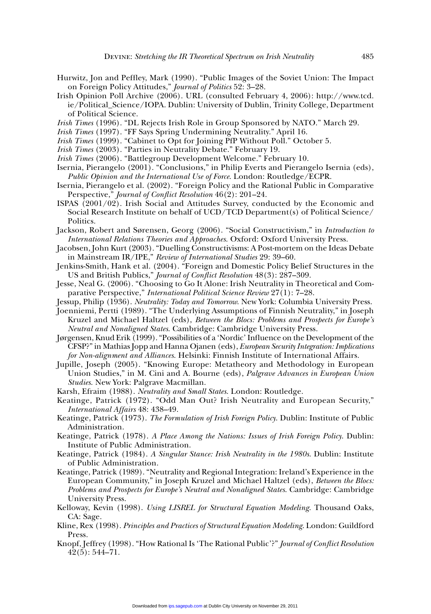- Hurwitz, Jon and Peffley, Mark (1990). "Public Images of the Soviet Union: The Impact on Foreign Policy Attitudes," *Journal of Politics* 52: 3–28.
- Irish Opinion Poll Archive (2006). URL (consulted February 4, 2006): http://www.tcd. ie/Political\_Science/IOPA. Dublin: University of Dublin, Trinity College, Department of Political Science.
- *Irish Times* (1996). "DL Rejects Irish Role in Group Sponsored by NATO." March 29.
- *Irish Times* (1997). "FF Says Spring Undermining Neutrality." April 16.
- *Irish Times* (1999). "Cabinet to Opt for Joining PfP Without Poll." October 5.
- *Irish Times* (2003). "Parties in Neutrality Debate." February 19.
- *Irish Times* (2006). "Battlegroup Development Welcome." February 10.
- Isernia, Pierangelo (2001). "Conclusions," in Philip Everts and Pierangelo Isernia (eds), *Public Opinion and the International Use of Force*. London: Routledge/ECPR.
- Isernia, Pierangelo et al. (2002). "Foreign Policy and the Rational Public in Comparative Perspective," *Journal of Conflict Resolution* 46(2): 201–24.
- ISPAS (2001/02). Irish Social and Attitudes Survey, conducted by the Economic and Social Research Institute on behalf of UCD/TCD Department(s) of Political Science/ Politics.
- Jackson, Robert and Sørensen, Georg (2006). "Social Constructivism," in *Introduction to International Relations Theories and Approaches*. Oxford: Oxford University Press.
- Jacobsen, John Kurt (2003). "Duelling Constructivisms: A Post-mortem on the Ideas Debate in Mainstream IR/IPE," *Review of International Studies* 29: 39–60.
- Jenkins-Smith, Hank et al. (2004). "Foreign and Domestic Policy Belief Structures in the US and British Publics," *Journal of Conflict Resolution* 48(3): 287–309.
- Jesse, Neal G. (2006). "Choosing to Go It Alone: Irish Neutrality in Theoretical and Comparative Perspective," *International Political Science Review* 27(1): 7–28.
- Jessup, Philip (1936). *Neutrality: Today and Tomorrow*. New York: Columbia University Press.
- Joenniemi, Pertti (1989). "The Underlying Assumptions of Finnish Neutrality," in Joseph Kruzel and Michael Haltzel (eds), *Between the Blocs: Problems and Prospects for Europe's Neutral and Nonaligned States*. Cambridge: Cambridge University Press.
- Jørgensen, Knud Erik (1999). "Possibilities of a 'Nordic' Influence on the Development of the CFSP?" in Mathias Jopp and Hanna Ojanen (eds), *European Security Integration: Implications for Non-alignment and Alliances*. Helsinki: Finnish Institute of International Affairs.
- Jupille, Joseph (2005). "Knowing Europe: Metatheory and Methodology in European Union Studies," in M. Cini and A. Bourne (eds), *Palgrave Advances in European Union Studies*. New York: Palgrave Macmillan.
- Karsh, Efraim (1988). *Neutrality and Small States*. London: Routledge.
- Keatinge, Patrick (1972). "Odd Man Out? Irish Neutrality and European Security," *International Affairs* 48: 438–49.
- Keatinge, Patrick (1973). *The Formulation of Irish Foreign Policy*. Dublin: Institute of Public Administration.
- Keatinge, Patrick (1978). *A Place Among the Nations: Issues of Irish Foreign Policy*. Dublin: Institute of Public Administration.
- Keatinge, Patrick (1984). *A Singular Stance: Irish Neutrality in the 1980s*. Dublin: Institute of Public Administration.
- Keatinge, Patrick (1989). "Neutrality and Regional Integration: Ireland's Experience in the European Community," in Joseph Kruzel and Michael Haltzel (eds), *Between the Blocs: Problems and Prospects for Europe's Neutral and Nonaligned States*. Cambridge: Cambridge University Press.
- Kelloway, Kevin (1998). *Using LISREL for Structural Equation Modeling*. Thousand Oaks, CA: Sage.
- Kline, Rex (1998). *Principles and Practices of Structural Equation Modeling*. London: Guildford Press.
- Knopf, Jeffrey (1998). "How Rational Is 'The Rational Public'?" *Journal of Conflict Resolution* 42(5): 544–71.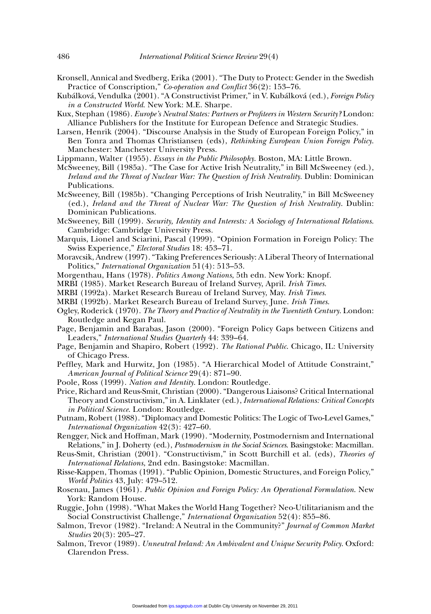- Kronsell, Annical and Svedberg, Erika (2001). "The Duty to Protect: Gender in the Swedish Practice of Conscription," *Co-operation and Conflict* 36(2): 153–76.
- Kubálková, Vendulka (2001). "A Constructivist Primer," in V. Kubálková (ed.), *Foreign Policy in a Constructed World*. New York: M.E. Sharpe.
- Kux, Stephan (1986). *Europe's Neutral States: Partners or Profi teers in Western Security?* London: Alliance Publishers for the Institute for European Defence and Strategic Studies.
- Larsen, Henrik (2004). "Discourse Analysis in the Study of European Foreign Policy," in Ben Tonra and Thomas Christiansen (eds), *Rethinking European Union Foreign Policy*. Manchester: Manchester University Press.
- Lippmann, Walter (1955). *Essays in the Public Philosophy*. Boston, MA: Little Brown.
- McSweeney, Bill (1985a). "The Case for Active Irish Neutrality," in Bill McSweeney (ed.), *Ireland and the Threat of Nuclear War: The Question of Irish Neutrality*. Dublin: Dominican Publications.
- McSweeney, Bill (1985b). "Changing Perceptions of Irish Neutrality," in Bill McSweeney (ed.), *Ireland and the Threat of Nuclear War: The Question of Irish Neutrality*. Dublin: Dominican Publications.
- McSweeney, Bill (1999). *Security, Identity and Interests: A Sociology of International Relations*. Cambridge: Cambridge University Press.
- Marquis, Lionel and Sciarini, Pascal (1999). "Opinion Formation in Foreign Policy: The Swiss Experience," *Electoral Studies* 18: 453–71.
- Moravcsik, Andrew (1997). "Taking Preferences Seriously: A Liberal Theory of International Politics," *International Organization* 51(4): 513–53.
- Morgenthau, Hans (1978). *Politics Among Nations*, 5th edn. New York: Knopf.
- MRBI (1985). Market Research Bureau of Ireland Survey, April. *Irish Times*.
- MRBI (1992a). Market Research Bureau of Ireland Survey, May. *Irish Times*.
- MRBI (1992b). Market Research Bureau of Ireland Survey, June. *Irish Times*.
- Ogley, Roderick (1970). *The Theory and Practice of Neutrality in the Twentieth Century*. London: Routledge and Kegan Paul.
- Page, Benjamin and Barabas, Jason (2000). "Foreign Policy Gaps between Citizens and Leaders," *International Studies Quarterly* 44: 339–64.
- Page, Benjamin and Shapiro, Robert (1992). *The Rational Public*. Chicago, IL: University of Chicago Press.
- Peffley, Mark and Hurwitz, Jon (1985). "A Hierarchical Model of Attitude Constraint," *American Journal of Political Science* 29(4): 871–90.
- Poole, Ross (1999). *Nation and Identity*. London: Routledge.
- Price, Richard and Reus-Smit, Christian (2000). "Dangerous Liaisons? Critical International Theory and Constructivism," in A. Linklater (ed.), *International Relations: Critical Concepts in Political Science*. London: Routledge.
- Putnam, Robert (1988). "Diplomacy and Domestic Politics: The Logic of Two-Level Games," *International Organization* 42(3): 427–60.
- Rengger, Nick and Hoffman, Mark (1990). "Modernity, Postmodernism and International Relations," in J. Doherty (ed.), *Postmodernism in the Social Sciences*. Basingstoke: Macmillan.
- Reus-Smit, Christian (2001). "Constructivism," in Scott Burchill et al. (eds), *Theories of International Relations*, 2nd edn. Basingstoke: Macmillan.
- Risse-Kappen, Thomas (1991). "Public Opinion, Domestic Structures, and Foreign Policy," *World Politics* 43, July: 479–512.
- Rosenau, James (1961). *Public Opinion and Foreign Policy: An Operational Formulation*. New York: Random House.
- Ruggie, John (1998). "What Makes the World Hang Together? Neo-Utilitarianism and the Social Constructivist Challenge," *International Organization* 52(4): 855–86.
- Salmon, Trevor (1982). "Ireland: A Neutral in the Community?" *Journal of Common Market Studies* 20(3): 205–27.
- Salmon, Trevor (1989). *Unneutral Ireland: An Ambivalent and Unique Security Policy*. Oxford: Clarendon Press.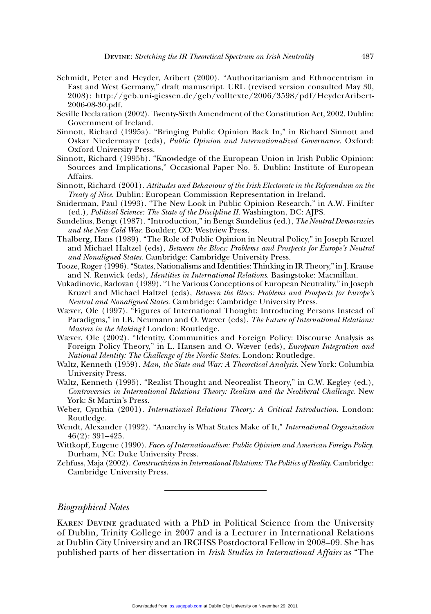- Schmidt, Peter and Heyder, Aribert (2000). "Authoritarianism and Ethnocentrism in East and West Germany," draft manuscript. URL (revised version consulted May 30, 2008): http://geb.uni-giessen.de/geb/volltexte/2006/3598/pdf/HeyderAribert-2006-08-30.pdf.
- Seville Declaration (2002). Twenty-Sixth Amendment of the Constitution Act, 2002. Dublin: Government of Ireland.
- Sinnott, Richard (1995a). "Bringing Public Opinion Back In," in Richard Sinnott and Oskar Niedermayer (eds), *Public Opinion and Internationalized Governance*. Oxford: Oxford University Press.
- Sinnott, Richard (1995b). "Knowledge of the European Union in Irish Public Opinion: Sources and Implications," Occasional Paper No. 5. Dublin: Institute of European Affairs.
- Sinnott, Richard (2001). *Attitudes and Behaviour of the Irish Electorate in the Referendum on the Treaty of Nice*. Dublin: European Commission Representation in Ireland.
- Sniderman, Paul (1993). "The New Look in Public Opinion Research," in A.W. Finifter (ed.), *Political Science: The State of the Discipline II*. Washington, DC: AJPS.
- Sundelius, Bengt (1987). "Introduction," in Bengt Sundelius (ed.), *The Neutral Democracies and the New Cold War*. Boulder, CO: Westview Press.
- Thalberg, Hans (1989). "The Role of Public Opinion in Neutral Policy," in Joseph Kruzel and Michael Haltzel (eds), *Between the Blocs: Problems and Prospects for Europe's Neutral and Nonaligned States*. Cambridge: Cambridge University Press.
- Tooze, Roger (1996). "States, Nationalisms and Identities: Thinking in IR Theory," in J. Krause and N. Renwick (eds), *Identities in International Relations*. Basingstoke: Macmillan.
- Vukadinovic, Radovan (1989). "The Various Conceptions of European Neutrality," in Joseph Kruzel and Michael Haltzel (eds), *Between the Blocs: Problems and Prospects for Europe's Neutral and Nonaligned States*. Cambridge: Cambridge University Press.
- Wæver, Ole (1997). "Figures of International Thought: Introducing Persons Instead of Paradigms," in I.B. Neumann and O. Wæver (eds), *The Future of International Relations: Masters in the Making?* London: Routledge.
- Wæver, Ole (2002). "Identity, Communities and Foreign Policy: Discourse Analysis as Foreign Policy Theory," in L. Hansen and O. Wæver (eds), *European Integration and National Identity: The Challenge of the Nordic States*. London: Routledge.
- Waltz, Kenneth (1959). *Man, the State and War: A Theoretical Analysis*. New York: Columbia University Press.
- Waltz, Kenneth (1995). "Realist Thought and Neorealist Theory," in C.W. Kegley (ed.), *Controversies in International Relations Theory: Realism and the Neoliberal Challenge*. New York: St Martin's Press.
- Weber, Cynthia (2001). *International Relations Theory: A Critical Introduction*. London: Routledge.
- Wendt, Alexander (1992). "Anarchy is What States Make of It," *International Organization* 46(2): 391–425.
- Wittkopf, Eugene (1990). *Faces of Internationalism: Public Opinion and American Foreign Policy*. Durham, NC: Duke University Press.
- Zehfuss, Maja (2002). *Constructivism in International Relations: The Politics of Reality*. Cambridge: Cambridge University Press.

# *Biographical Notes*

Karen Devine graduated with a PhD in Political Science from the University of Dublin, Trinity College in 2007 and is a Lecturer in International Relations at Dublin City University and an IRCHSS Postdoctoral Fellow in 2008–09. She has published parts of her dissertation in *Irish Studies in International Affairs* as "The